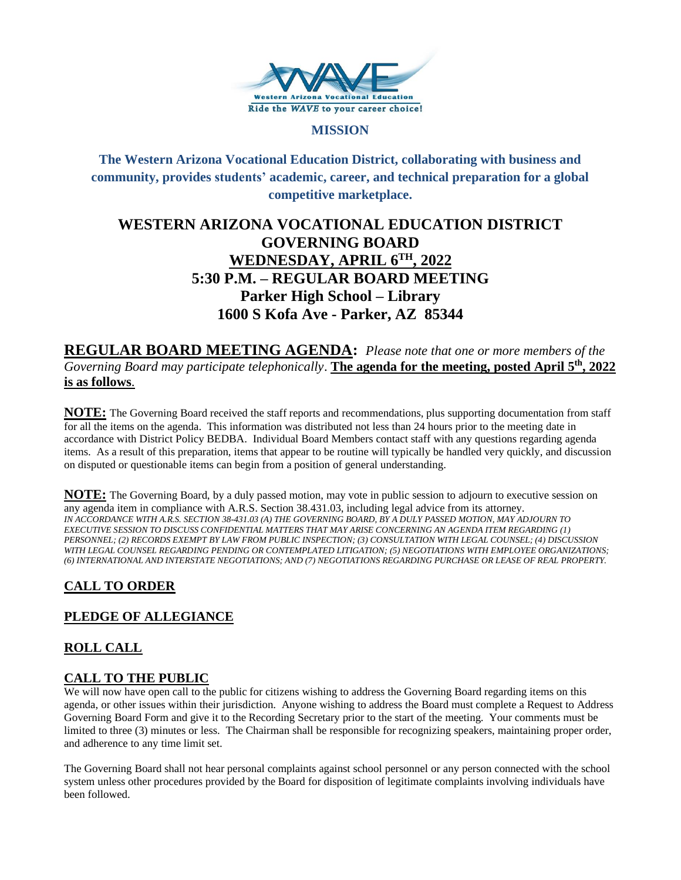

#### **MISSION**

## **The Western Arizona Vocational Education District, collaborating with business and community, provides students' academic, career, and technical preparation for a global competitive marketplace.**

# **WESTERN ARIZONA VOCATIONAL EDUCATION DISTRICT GOVERNING BOARD WEDNESDAY, APRIL 6TH , 2022 5:30 P.M. – REGULAR BOARD MEETING Parker High School – Library 1600 S Kofa Ave - Parker, AZ 85344**

**REGULAR BOARD MEETING AGENDA:** *Please note that one or more members of the Governing Board may participate telephonically*. **The agenda for the meeting, posted April 5th , 2022 is as follows**.

**NOTE:** The Governing Board received the staff reports and recommendations, plus supporting documentation from staff for all the items on the agenda. This information was distributed not less than 24 hours prior to the meeting date in accordance with District Policy BEDBA. Individual Board Members contact staff with any questions regarding agenda items. As a result of this preparation, items that appear to be routine will typically be handled very quickly, and discussion on disputed or questionable items can begin from a position of general understanding.

**NOTE:** The Governing Board, by a duly passed motion, may vote in public session to adjourn to executive session on any agenda item in compliance with A.R.S. Section 38.431.03, including legal advice from its attorney. *IN ACCORDANCE WITH A.R.S. SECTION 38-431.03 (A) THE GOVERNING BOARD, BY A DULY PASSED MOTION, MAY ADJOURN TO EXECUTIVE SESSION TO DISCUSS CONFIDENTIAL MATTERS THAT MAY ARISE CONCERNING AN AGENDA ITEM REGARDING (1) PERSONNEL; (2) RECORDS EXEMPT BY LAW FROM PUBLIC INSPECTION; (3) CONSULTATION WITH LEGAL COUNSEL; (4) DISCUSSION WITH LEGAL COUNSEL REGARDING PENDING OR CONTEMPLATED LITIGATION; (5) NEGOTIATIONS WITH EMPLOYEE ORGANIZATIONS; (6) INTERNATIONAL AND INTERSTATE NEGOTIATIONS; AND (7) NEGOTIATIONS REGARDING PURCHASE OR LEASE OF REAL PROPERTY.*

# **CALL TO ORDER**

## **PLEDGE OF ALLEGIANCE**

## **ROLL CALL**

### **CALL TO THE PUBLIC**

We will now have open call to the public for citizens wishing to address the Governing Board regarding items on this agenda, or other issues within their jurisdiction. Anyone wishing to address the Board must complete a Request to Address Governing Board Form and give it to the Recording Secretary prior to the start of the meeting. Your comments must be limited to three (3) minutes or less. The Chairman shall be responsible for recognizing speakers, maintaining proper order, and adherence to any time limit set.

The Governing Board shall not hear personal complaints against school personnel or any person connected with the school system unless other procedures provided by the Board for disposition of legitimate complaints involving individuals have been followed.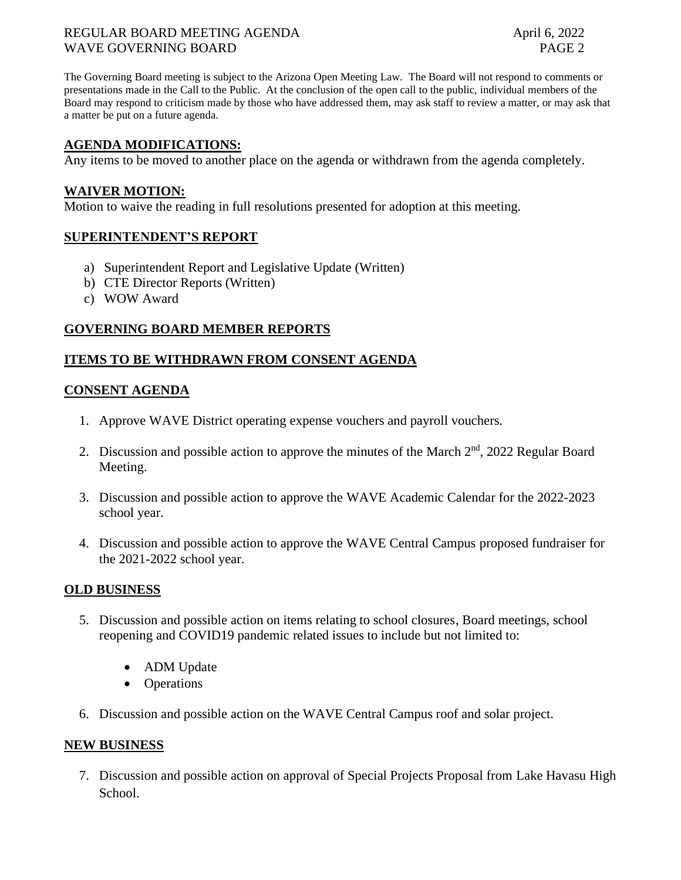#### REGULAR BOARD MEETING AGENDA April 6, 2022 WAVE GOVERNING BOARD **PAGE 2**

The Governing Board meeting is subject to the Arizona Open Meeting Law. The Board will not respond to comments or presentations made in the Call to the Public. At the conclusion of the open call to the public, individual members of the Board may respond to criticism made by those who have addressed them, may ask staff to review a matter, or may ask that a matter be put on a future agenda.

### **AGENDA MODIFICATIONS:**

Any items to be moved to another place on the agenda or withdrawn from the agenda completely.

#### **WAIVER MOTION:**

Motion to waive the reading in full resolutions presented for adoption at this meeting.

#### **SUPERINTENDENT'S REPORT**

- a) Superintendent Report and Legislative Update (Written)
- b) CTE Director Reports (Written)
- c) WOW Award

#### **GOVERNING BOARD MEMBER REPORTS**

#### **ITEMS TO BE WITHDRAWN FROM CONSENT AGENDA**

#### **CONSENT AGENDA**

- 1. Approve WAVE District operating expense vouchers and payroll vouchers.
- 2. Discussion and possible action to approve the minutes of the March  $2<sup>nd</sup>$ , 2022 Regular Board Meeting.
- 3. Discussion and possible action to approve the WAVE Academic Calendar for the 2022-2023 school year.
- 4. Discussion and possible action to approve the WAVE Central Campus proposed fundraiser for the 2021-2022 school year.

#### **OLD BUSINESS**

- 5. Discussion and possible action on items relating to school closures, Board meetings, school reopening and COVID19 pandemic related issues to include but not limited to:
	- ADM Update
	- Operations
- 6. Discussion and possible action on the WAVE Central Campus roof and solar project.

#### **NEW BUSINESS**

7. Discussion and possible action on approval of Special Projects Proposal from Lake Havasu High School.